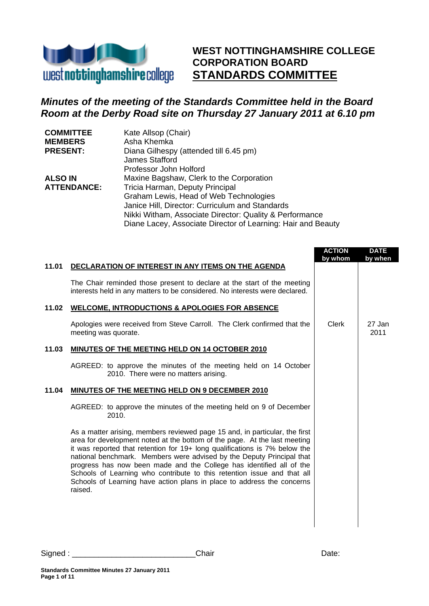

**WEST NOTTINGHAMSHIRE COLLEGE CORPORATION BOARD STANDARDS COMMITTEE**

# *Minutes of the meeting of the Standards Committee held in the Board Room at the Derby Road site on Thursday 27 January 2011 at 6.10 pm*

| <b>COMMITTEE</b>   | Kate Allsop (Chair)                                          |
|--------------------|--------------------------------------------------------------|
| <b>MEMBERS</b>     | Asha Khemka                                                  |
| <b>PRESENT:</b>    | Diana Gilhespy (attended till 6.45 pm)                       |
|                    | James Stafford                                               |
|                    | Professor John Holford                                       |
| <b>ALSO IN</b>     | Maxine Bagshaw, Clerk to the Corporation                     |
| <b>ATTENDANCE:</b> | Tricia Harman, Deputy Principal                              |
|                    | Graham Lewis, Head of Web Technologies                       |
|                    | Janice Hill, Director: Curriculum and Standards              |
|                    | Nikki Witham, Associate Director: Quality & Performance      |
|                    | Diane Lacey, Associate Director of Learning: Hair and Beauty |

|       |                                                                                                                                                                                                                                                                                                                                                                                                                                                                                                                                                         | <b>ACTION</b><br>by whom | <b>DATE</b><br>by when |
|-------|---------------------------------------------------------------------------------------------------------------------------------------------------------------------------------------------------------------------------------------------------------------------------------------------------------------------------------------------------------------------------------------------------------------------------------------------------------------------------------------------------------------------------------------------------------|--------------------------|------------------------|
| 11.01 | DECLARATION OF INTEREST IN ANY ITEMS ON THE AGENDA                                                                                                                                                                                                                                                                                                                                                                                                                                                                                                      |                          |                        |
|       | The Chair reminded those present to declare at the start of the meeting<br>interests held in any matters to be considered. No interests were declared.                                                                                                                                                                                                                                                                                                                                                                                                  |                          |                        |
| 11.02 | <b>WELCOME, INTRODUCTIONS &amp; APOLOGIES FOR ABSENCE</b>                                                                                                                                                                                                                                                                                                                                                                                                                                                                                               |                          |                        |
|       | Apologies were received from Steve Carroll. The Clerk confirmed that the<br>meeting was quorate.                                                                                                                                                                                                                                                                                                                                                                                                                                                        | Clerk                    | 27 Jan<br>2011         |
| 11.03 | MINUTES OF THE MEETING HELD ON 14 OCTOBER 2010                                                                                                                                                                                                                                                                                                                                                                                                                                                                                                          |                          |                        |
|       | AGREED: to approve the minutes of the meeting held on 14 October<br>2010. There were no matters arising.                                                                                                                                                                                                                                                                                                                                                                                                                                                |                          |                        |
| 11.04 | MINUTES OF THE MEETING HELD ON 9 DECEMBER 2010                                                                                                                                                                                                                                                                                                                                                                                                                                                                                                          |                          |                        |
|       | AGREED: to approve the minutes of the meeting held on 9 of December<br>2010.                                                                                                                                                                                                                                                                                                                                                                                                                                                                            |                          |                        |
|       | As a matter arising, members reviewed page 15 and, in particular, the first<br>area for development noted at the bottom of the page. At the last meeting<br>it was reported that retention for 19+ long qualifications is 7% below the<br>national benchmark. Members were advised by the Deputy Principal that<br>progress has now been made and the College has identified all of the<br>Schools of Learning who contribute to this retention issue and that all<br>Schools of Learning have action plans in place to address the concerns<br>raised. |                          |                        |
|       |                                                                                                                                                                                                                                                                                                                                                                                                                                                                                                                                                         |                          |                        |

Signed : the contract of the Chair Chair Chair Date: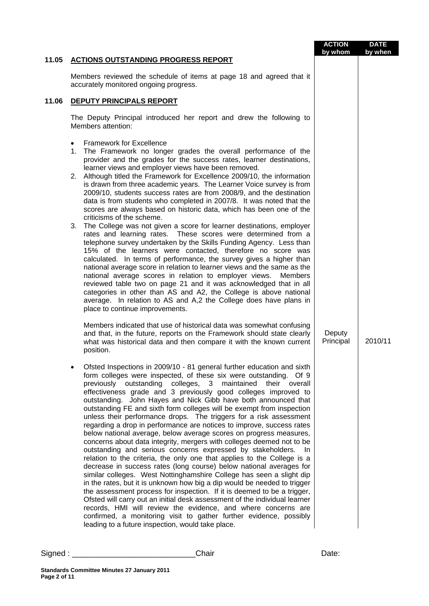|       |                                                                                                                                                                                                                                                                                                                                                                                                                                                                                                                                                                                                                                                                                                                                                                                                                                                                                                                                                                                                                                                                                                                                                                                                                                                                                                                                                                                                                                                                                                                                                                                                                                                  | <b>ACTION</b><br>by whom | <b>DATE</b><br>by when |
|-------|--------------------------------------------------------------------------------------------------------------------------------------------------------------------------------------------------------------------------------------------------------------------------------------------------------------------------------------------------------------------------------------------------------------------------------------------------------------------------------------------------------------------------------------------------------------------------------------------------------------------------------------------------------------------------------------------------------------------------------------------------------------------------------------------------------------------------------------------------------------------------------------------------------------------------------------------------------------------------------------------------------------------------------------------------------------------------------------------------------------------------------------------------------------------------------------------------------------------------------------------------------------------------------------------------------------------------------------------------------------------------------------------------------------------------------------------------------------------------------------------------------------------------------------------------------------------------------------------------------------------------------------------------|--------------------------|------------------------|
| 11.05 | <b>ACTIONS OUTSTANDING PROGRESS REPORT</b>                                                                                                                                                                                                                                                                                                                                                                                                                                                                                                                                                                                                                                                                                                                                                                                                                                                                                                                                                                                                                                                                                                                                                                                                                                                                                                                                                                                                                                                                                                                                                                                                       |                          |                        |
|       | Members reviewed the schedule of items at page 18 and agreed that it<br>accurately monitored ongoing progress.                                                                                                                                                                                                                                                                                                                                                                                                                                                                                                                                                                                                                                                                                                                                                                                                                                                                                                                                                                                                                                                                                                                                                                                                                                                                                                                                                                                                                                                                                                                                   |                          |                        |
| 11.06 | DEPUTY PRINCIPALS REPORT                                                                                                                                                                                                                                                                                                                                                                                                                                                                                                                                                                                                                                                                                                                                                                                                                                                                                                                                                                                                                                                                                                                                                                                                                                                                                                                                                                                                                                                                                                                                                                                                                         |                          |                        |
|       | The Deputy Principal introduced her report and drew the following to<br>Members attention:                                                                                                                                                                                                                                                                                                                                                                                                                                                                                                                                                                                                                                                                                                                                                                                                                                                                                                                                                                                                                                                                                                                                                                                                                                                                                                                                                                                                                                                                                                                                                       |                          |                        |
|       | <b>Framework for Excellence</b><br>$\bullet$<br>The Framework no longer grades the overall performance of the<br>1.<br>provider and the grades for the success rates, learner destinations,<br>learner views and employer views have been removed.<br>2. Although titled the Framework for Excellence 2009/10, the information<br>is drawn from three academic years. The Learner Voice survey is from<br>2009/10, students success rates are from 2008/9, and the destination<br>data is from students who completed in 2007/8. It was noted that the<br>scores are always based on historic data, which has been one of the<br>criticisms of the scheme.<br>The College was not given a score for learner destinations, employer<br>3.<br>rates and learning rates. These scores were determined from a<br>telephone survey undertaken by the Skills Funding Agency. Less than<br>15% of the learners were contacted, therefore no score was<br>calculated. In terms of performance, the survey gives a higher than<br>national average score in relation to learner views and the same as the<br>national average scores in relation to employer views.<br>Members<br>reviewed table two on page 21 and it was acknowledged that in all<br>categories in other than AS and A2, the College is above national<br>average. In relation to AS and A,2 the College does have plans in<br>place to continue improvements.<br>Members indicated that use of historical data was somewhat confusing<br>and that, in the future, reports on the Framework should state clearly<br>what was historical data and then compare it with the known current | Deputy<br>Principal      | 2010/11                |
|       | position.<br>Ofsted Inspections in 2009/10 - 81 general further education and sixth<br>form colleges were inspected, of these six were outstanding.<br>Of 9<br>previously outstanding colleges, 3 maintained their overall<br>effectiveness grade and 3 previously good colleges improved to<br>outstanding. John Hayes and Nick Gibb have both announced that<br>outstanding FE and sixth form colleges will be exempt from inspection<br>unless their performance drops. The triggers for a risk assessment<br>regarding a drop in performance are notices to improve, success rates<br>below national average, below average scores on progress measures,<br>concerns about data integrity, mergers with colleges deemed not to be<br>outstanding and serious concerns expressed by stakeholders.<br>In.<br>relation to the criteria, the only one that applies to the College is a<br>decrease in success rates (long course) below national averages for<br>similar colleges. West Nottinghamshire College has seen a slight dip<br>in the rates, but it is unknown how big a dip would be needed to trigger<br>the assessment process for inspection. If it is deemed to be a trigger,<br>Ofsted will carry out an initial desk assessment of the individual learner<br>records, HMI will review the evidence, and where concerns are<br>confirmed, a monitoring visit to gather further evidence, possibly<br>leading to a future inspection, would take place.                                                                                                                                                                           |                          |                        |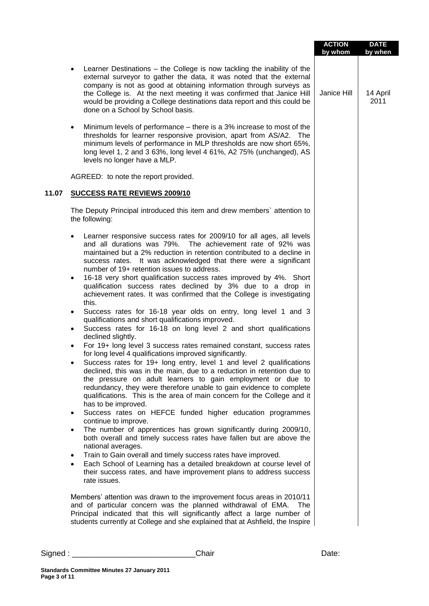|       |                                                                                                                                                                                                                                                                                                                                                                                                                                                   | <b>ACTION</b><br>by whom | <b>DATE</b><br>by when |
|-------|---------------------------------------------------------------------------------------------------------------------------------------------------------------------------------------------------------------------------------------------------------------------------------------------------------------------------------------------------------------------------------------------------------------------------------------------------|--------------------------|------------------------|
|       | Learner Destinations - the College is now tackling the inability of the<br>external surveyor to gather the data, it was noted that the external<br>company is not as good at obtaining information through surveys as<br>the College is. At the next meeting it was confirmed that Janice Hill<br>would be providing a College destinations data report and this could be<br>done on a School by School basis.                                    | Janice Hill              | 14 April<br>2011       |
|       | Minimum levels of performance – there is a 3% increase to most of the<br>$\bullet$<br>thresholds for learner responsive provision, apart from AS/A2. The<br>minimum levels of performance in MLP thresholds are now short 65%,<br>long level 1, 2 and 3 63%, long level 4 61%, A2 75% (unchanged), AS<br>levels no longer have a MLP.                                                                                                             |                          |                        |
|       | AGREED: to note the report provided.                                                                                                                                                                                                                                                                                                                                                                                                              |                          |                        |
| 11.07 | SUCCESS RATE REVIEWS 2009/10                                                                                                                                                                                                                                                                                                                                                                                                                      |                          |                        |
|       | The Deputy Principal introduced this item and drew members' attention to<br>the following:                                                                                                                                                                                                                                                                                                                                                        |                          |                        |
|       | Learner responsive success rates for 2009/10 for all ages, all levels<br>$\bullet$<br>and all durations was 79%. The achievement rate of 92% was<br>maintained but a 2% reduction in retention contributed to a decline in<br>success rates. It was acknowledged that there were a significant<br>number of 19+ retention issues to address.                                                                                                      |                          |                        |
|       | 16-18 very short qualification success rates improved by 4%. Short<br>$\bullet$<br>qualification success rates declined by 3% due to a drop in<br>achievement rates. It was confirmed that the College is investigating<br>this.                                                                                                                                                                                                                  |                          |                        |
|       | Success rates for 16-18 year olds on entry, long level 1 and 3<br>$\bullet$<br>qualifications and short qualifications improved.<br>Success rates for 16-18 on long level 2 and short qualifications                                                                                                                                                                                                                                              |                          |                        |
|       | declined slightly.<br>For 19+ long level 3 success rates remained constant, success rates                                                                                                                                                                                                                                                                                                                                                         |                          |                        |
|       | for long level 4 qualifications improved significantly.<br>Success rates for 19+ long entry, level 1 and level 2 qualifications<br>declined, this was in the main, due to a reduction in retention due to<br>the pressure on adult learners to gain employment or due to<br>redundancy, they were therefore unable to gain evidence to complete<br>qualifications. This is the area of main concern for the College and it<br>has to be improved. |                          |                        |
|       | Success rates on HEFCE funded higher education programmes<br>$\bullet$<br>continue to improve.<br>The number of apprentices has grown significantly during 2009/10,<br>$\bullet$                                                                                                                                                                                                                                                                  |                          |                        |
|       | both overall and timely success rates have fallen but are above the<br>national averages.                                                                                                                                                                                                                                                                                                                                                         |                          |                        |
|       | Train to Gain overall and timely success rates have improved.<br>$\bullet$<br>Each School of Learning has a detailed breakdown at course level of<br>$\bullet$<br>their success rates, and have improvement plans to address success<br>rate issues.                                                                                                                                                                                              |                          |                        |
|       | Members' attention was drawn to the improvement focus areas in 2010/11<br>and of particular concern was the planned withdrawal of EMA.<br><b>The</b><br>Principal indicated that this will significantly affect a large number of<br>students currently at College and she explained that at Ashfield, the Inspire                                                                                                                                |                          |                        |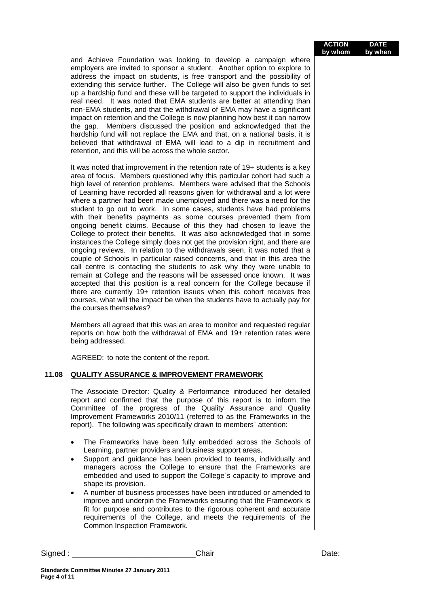#### **ACTION by whom DATE by when**

and Achieve Foundation was looking to develop a campaign where employers are invited to sponsor a student. Another option to explore to address the impact on students, is free transport and the possibility of extending this service further. The College will also be given funds to set up a hardship fund and these will be targeted to support the individuals in real need. It was noted that EMA students are better at attending than non-EMA students, and that the withdrawal of EMA may have a significant impact on retention and the College is now planning how best it can narrow the gap. Members discussed the position and acknowledged that the hardship fund will not replace the EMA and that, on a national basis, it is believed that withdrawal of EMA will lead to a dip in recruitment and retention, and this will be across the whole sector.

It was noted that improvement in the retention rate of 19+ students is a key area of focus. Members questioned why this particular cohort had such a high level of retention problems. Members were advised that the Schools of Learning have recorded all reasons given for withdrawal and a lot were where a partner had been made unemployed and there was a need for the student to go out to work. In some cases, students have had problems with their benefits payments as some courses prevented them from ongoing benefit claims. Because of this they had chosen to leave the College to protect their benefits. It was also acknowledged that in some instances the College simply does not get the provision right, and there are ongoing reviews. In relation to the withdrawals seen, it was noted that a couple of Schools in particular raised concerns, and that in this area the call centre is contacting the students to ask why they were unable to remain at College and the reasons will be assessed once known. It was accepted that this position is a real concern for the College because if there are currently 19+ retention issues when this cohort receives free courses, what will the impact be when the students have to actually pay for the courses themselves?

Members all agreed that this was an area to monitor and requested regular reports on how both the withdrawal of EMA and 19+ retention rates were being addressed.

AGREED: to note the content of the report.

# **11.08 QUALITY ASSURANCE & IMPROVEMENT FRAMEWORK**

The Associate Director: Quality & Performance introduced her detailed report and confirmed that the purpose of this report is to inform the Committee of the progress of the Quality Assurance and Quality Improvement Frameworks 2010/11 (referred to as the Frameworks in the report). The following was specifically drawn to members` attention:

- The Frameworks have been fully embedded across the Schools of Learning, partner providers and business support areas.
- Support and guidance has been provided to teams, individually and managers across the College to ensure that the Frameworks are embedded and used to support the College`s capacity to improve and shape its provision.
- A number of business processes have been introduced or amended to improve and underpin the Frameworks ensuring that the Framework is fit for purpose and contributes to the rigorous coherent and accurate requirements of the College, and meets the requirements of the Common Inspection Framework.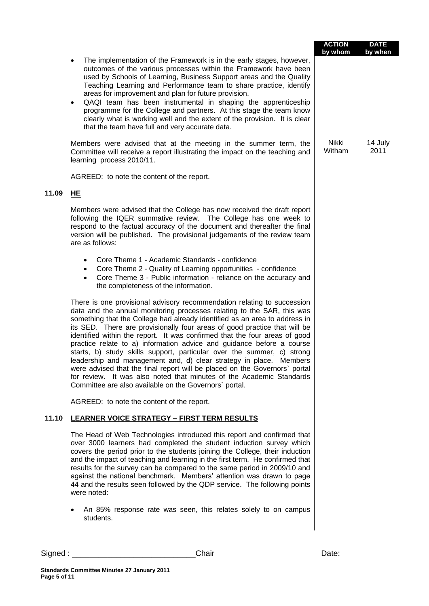|       |                                                                                                                                                                                                                                                                                                                                                                                                                                                                                                                                                                                                                                                                                                                                                                                                                                     | <b>ACTION</b><br>by whom | <b>DATE</b><br>by when |
|-------|-------------------------------------------------------------------------------------------------------------------------------------------------------------------------------------------------------------------------------------------------------------------------------------------------------------------------------------------------------------------------------------------------------------------------------------------------------------------------------------------------------------------------------------------------------------------------------------------------------------------------------------------------------------------------------------------------------------------------------------------------------------------------------------------------------------------------------------|--------------------------|------------------------|
|       | The implementation of the Framework is in the early stages, however,<br>٠<br>outcomes of the various processes within the Framework have been<br>used by Schools of Learning, Business Support areas and the Quality<br>Teaching Learning and Performance team to share practice, identify<br>areas for improvement and plan for future provision.<br>QAQI team has been instrumental in shaping the apprenticeship<br>$\bullet$<br>programme for the College and partners. At this stage the team know<br>clearly what is working well and the extent of the provision. It is clear<br>that the team have full and very accurate data.                                                                                                                                                                                             |                          |                        |
|       | Members were advised that at the meeting in the summer term, the<br>Committee will receive a report illustrating the impact on the teaching and<br>learning process 2010/11.                                                                                                                                                                                                                                                                                                                                                                                                                                                                                                                                                                                                                                                        | Nikki<br>Witham          | 14 July<br>2011        |
|       | AGREED: to note the content of the report.                                                                                                                                                                                                                                                                                                                                                                                                                                                                                                                                                                                                                                                                                                                                                                                          |                          |                        |
| 11.09 | HE                                                                                                                                                                                                                                                                                                                                                                                                                                                                                                                                                                                                                                                                                                                                                                                                                                  |                          |                        |
|       | Members were advised that the College has now received the draft report<br>following the IQER summative review. The College has one week to<br>respond to the factual accuracy of the document and thereafter the final<br>version will be published. The provisional judgements of the review team<br>are as follows:                                                                                                                                                                                                                                                                                                                                                                                                                                                                                                              |                          |                        |
|       | Core Theme 1 - Academic Standards - confidence<br>$\bullet$<br>Core Theme 2 - Quality of Learning opportunities - confidence<br>Core Theme 3 - Public information - reliance on the accuracy and<br>$\bullet$<br>the completeness of the information.                                                                                                                                                                                                                                                                                                                                                                                                                                                                                                                                                                               |                          |                        |
|       | There is one provisional advisory recommendation relating to succession<br>data and the annual monitoring processes relating to the SAR, this was<br>something that the College had already identified as an area to address in<br>its SED. There are provisionally four areas of good practice that will be<br>identified within the report. It was confirmed that the four areas of good<br>practice relate to a) information advice and guidance before a course<br>starts, b) study skills support, particular over the summer, c) strong<br>leadership and management and, d) clear strategy in place. Members<br>were advised that the final report will be placed on the Governors' portal<br>for review. It was also noted that minutes of the Academic Standards<br>Committee are also available on the Governors' portal. |                          |                        |
|       | AGREED: to note the content of the report.                                                                                                                                                                                                                                                                                                                                                                                                                                                                                                                                                                                                                                                                                                                                                                                          |                          |                        |
| 11.10 | <b>LEARNER VOICE STRATEGY - FIRST TERM RESULTS</b>                                                                                                                                                                                                                                                                                                                                                                                                                                                                                                                                                                                                                                                                                                                                                                                  |                          |                        |
|       | The Head of Web Technologies introduced this report and confirmed that<br>over 3000 learners had completed the student induction survey which<br>covers the period prior to the students joining the College, their induction<br>and the impact of teaching and learning in the first term. He confirmed that<br>results for the survey can be compared to the same period in 2009/10 and<br>against the national benchmark. Members' attention was drawn to page<br>44 and the results seen followed by the QDP service. The following points<br>were noted:<br>An 85% response rate was seen, this relates solely to on campus<br>students.                                                                                                                                                                                       |                          |                        |
|       |                                                                                                                                                                                                                                                                                                                                                                                                                                                                                                                                                                                                                                                                                                                                                                                                                                     |                          |                        |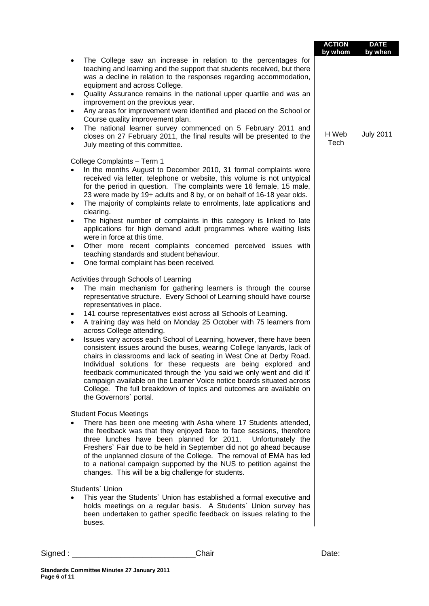|                                                                                                                                                                                                                                                                                                                                                                                                                                                                                                                                                                                                                                                                                                                                                                                                                                                                                                                                                                           | <b>ACTION</b><br>by whom | <b>DATE</b><br>by when |
|---------------------------------------------------------------------------------------------------------------------------------------------------------------------------------------------------------------------------------------------------------------------------------------------------------------------------------------------------------------------------------------------------------------------------------------------------------------------------------------------------------------------------------------------------------------------------------------------------------------------------------------------------------------------------------------------------------------------------------------------------------------------------------------------------------------------------------------------------------------------------------------------------------------------------------------------------------------------------|--------------------------|------------------------|
| The College saw an increase in relation to the percentages for<br>$\bullet$<br>teaching and learning and the support that students received, but there<br>was a decline in relation to the responses regarding accommodation,<br>equipment and across College.<br>Quality Assurance remains in the national upper quartile and was an<br>٠<br>improvement on the previous year.<br>Any areas for improvement were identified and placed on the School or<br>٠<br>Course quality improvement plan.<br>The national learner survey commenced on 5 February 2011 and<br>$\bullet$<br>closes on 27 February 2011, the final results will be presented to the<br>July meeting of this committee.                                                                                                                                                                                                                                                                               | H Web<br>Tech            | <b>July 2011</b>       |
| College Complaints - Term 1<br>In the months August to December 2010, 31 formal complaints were<br>received via letter, telephone or website, this volume is not untypical<br>for the period in question. The complaints were 16 female, 15 male,<br>23 were made by 19+ adults and 8 by, or on behalf of 16-18 year olds.                                                                                                                                                                                                                                                                                                                                                                                                                                                                                                                                                                                                                                                |                          |                        |
| The majority of complaints relate to enrolments, late applications and<br>$\bullet$<br>clearing.<br>The highest number of complaints in this category is linked to late<br>$\bullet$<br>applications for high demand adult programmes where waiting lists<br>were in force at this time.                                                                                                                                                                                                                                                                                                                                                                                                                                                                                                                                                                                                                                                                                  |                          |                        |
| Other more recent complaints concerned perceived issues with<br>$\bullet$<br>teaching standards and student behaviour.<br>One formal complaint has been received.                                                                                                                                                                                                                                                                                                                                                                                                                                                                                                                                                                                                                                                                                                                                                                                                         |                          |                        |
| Activities through Schools of Learning<br>The main mechanism for gathering learners is through the course<br>representative structure. Every School of Learning should have course<br>representatives in place.<br>141 course representatives exist across all Schools of Learning.<br>$\bullet$<br>A training day was held on Monday 25 October with 75 learners from<br>$\bullet$<br>across College attending.<br>Issues vary across each School of Learning, however, there have been<br>$\bullet$<br>consistent issues around the buses, wearing College lanyards, lack of<br>chairs in classrooms and lack of seating in West One at Derby Road.<br>Individual solutions for these requests are being explored and<br>feedback communicated through the 'you said we only went and did it'<br>campaign available on the Learner Voice notice boards situated across<br>College. The full breakdown of topics and outcomes are available on<br>the Governors' portal. |                          |                        |
| <b>Student Focus Meetings</b><br>There has been one meeting with Asha where 17 Students attended,<br>the feedback was that they enjoyed face to face sessions, therefore<br>three lunches have been planned for 2011.<br>Unfortunately the<br>Freshers` Fair due to be held in September did not go ahead because<br>of the unplanned closure of the College. The removal of EMA has led<br>to a national campaign supported by the NUS to petition against the<br>changes. This will be a big challenge for students.                                                                                                                                                                                                                                                                                                                                                                                                                                                    |                          |                        |
| Students' Union<br>This year the Students' Union has established a formal executive and<br>$\bullet$<br>holds meetings on a regular basis. A Students` Union survey has<br>been undertaken to gather specific feedback on issues relating to the<br>buses.                                                                                                                                                                                                                                                                                                                                                                                                                                                                                                                                                                                                                                                                                                                |                          |                        |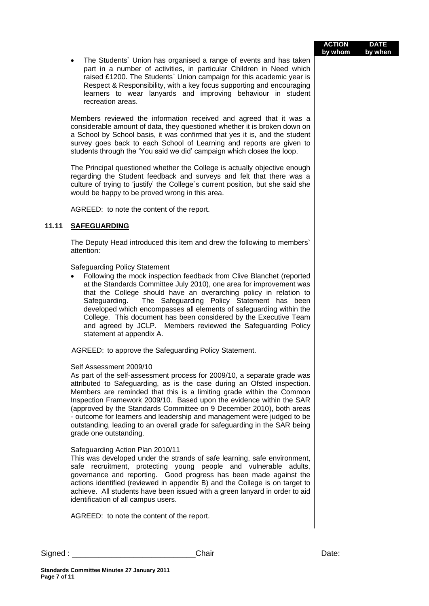| <b>ACTION</b> | <b>DATE</b> |
|---------------|-------------|
| by whom       | by when     |

 The Students` Union has organised a range of events and has taken part in a number of activities, in particular Children in Need which raised £1200. The Students` Union campaign for this academic year is Respect & Responsibility, with a key focus supporting and encouraging learners to wear lanyards and improving behaviour in student recreation areas.

Members reviewed the information received and agreed that it was a considerable amount of data, they questioned whether it is broken down on a School by School basis, it was confirmed that yes it is, and the student survey goes back to each School of Learning and reports are given to students through the 'You said we did' campaign which closes the loop.

The Principal questioned whether the College is actually objective enough regarding the Student feedback and surveys and felt that there was a culture of trying to 'justify' the College`s current position, but she said she would be happy to be proved wrong in this area.

AGREED: to note the content of the report.

# **11.11 SAFEGUARDING**

The Deputy Head introduced this item and drew the following to members` attention:

Safeguarding Policy Statement

 Following the mock inspection feedback from Clive Blanchet (reported at the Standards Committee July 2010), one area for improvement was that the College should have an overarching policy in relation to Safeguarding. The Safeguarding Policy Statement has been developed which encompasses all elements of safeguarding within the College. This document has been considered by the Executive Team and agreed by JCLP. Members reviewed the Safeguarding Policy statement at appendix A.

AGREED: to approve the Safeguarding Policy Statement.

### Self Assessment 2009/10

As part of the self-assessment process for 2009/10, a separate grade was attributed to Safeguarding, as is the case during an Ofsted inspection. Members are reminded that this is a limiting grade within the Common Inspection Framework 2009/10. Based upon the evidence within the SAR (approved by the Standards Committee on 9 December 2010), both areas - outcome for learners and leadership and management were judged to be outstanding, leading to an overall grade for safeguarding in the SAR being grade one outstanding.

### Safeguarding Action Plan 2010/11

This was developed under the strands of safe learning, safe environment, safe recruitment, protecting young people and vulnerable adults, governance and reporting. Good progress has been made against the actions identified (reviewed in appendix B) and the College is on target to achieve. All students have been issued with a green lanyard in order to aid identification of all campus users.

AGREED: to note the content of the report.

| Signed | ;haır | Date. |
|--------|-------|-------|
|        |       |       |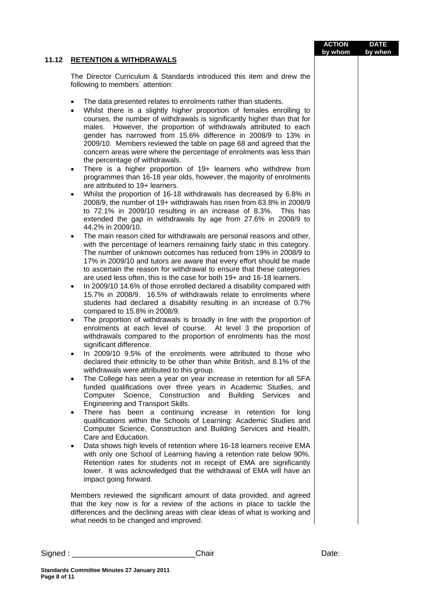|          |                                                                                                                                                                                                                                                                                                                                                                                                                                                                                                                                                                                                                                                                                                                                                                                                                                                                                                                                                                                                                                                                                                                                                                                                                                                                                                                                                                                                                                                                                                                                                                                                                                                                                                                                                                                                                                                                                                                                                                                                                                                                                                                                                                                                                                                                                                                                                                                                                                                                                                                                                                                                                                                                                                                                                                                                                                                                                                                                                                                                                                                      | <b>ACTION</b><br>by whom | <b>DATE</b><br>by when |
|----------|------------------------------------------------------------------------------------------------------------------------------------------------------------------------------------------------------------------------------------------------------------------------------------------------------------------------------------------------------------------------------------------------------------------------------------------------------------------------------------------------------------------------------------------------------------------------------------------------------------------------------------------------------------------------------------------------------------------------------------------------------------------------------------------------------------------------------------------------------------------------------------------------------------------------------------------------------------------------------------------------------------------------------------------------------------------------------------------------------------------------------------------------------------------------------------------------------------------------------------------------------------------------------------------------------------------------------------------------------------------------------------------------------------------------------------------------------------------------------------------------------------------------------------------------------------------------------------------------------------------------------------------------------------------------------------------------------------------------------------------------------------------------------------------------------------------------------------------------------------------------------------------------------------------------------------------------------------------------------------------------------------------------------------------------------------------------------------------------------------------------------------------------------------------------------------------------------------------------------------------------------------------------------------------------------------------------------------------------------------------------------------------------------------------------------------------------------------------------------------------------------------------------------------------------------------------------------------------------------------------------------------------------------------------------------------------------------------------------------------------------------------------------------------------------------------------------------------------------------------------------------------------------------------------------------------------------------------------------------------------------------------------------------------------------------|--------------------------|------------------------|
| 11.12    | <b>RETENTION &amp; WITHDRAWALS</b>                                                                                                                                                                                                                                                                                                                                                                                                                                                                                                                                                                                                                                                                                                                                                                                                                                                                                                                                                                                                                                                                                                                                                                                                                                                                                                                                                                                                                                                                                                                                                                                                                                                                                                                                                                                                                                                                                                                                                                                                                                                                                                                                                                                                                                                                                                                                                                                                                                                                                                                                                                                                                                                                                                                                                                                                                                                                                                                                                                                                                   |                          |                        |
|          | The Director Curriculum & Standards introduced this item and drew the<br>following to members' attention:                                                                                                                                                                                                                                                                                                                                                                                                                                                                                                                                                                                                                                                                                                                                                                                                                                                                                                                                                                                                                                                                                                                                                                                                                                                                                                                                                                                                                                                                                                                                                                                                                                                                                                                                                                                                                                                                                                                                                                                                                                                                                                                                                                                                                                                                                                                                                                                                                                                                                                                                                                                                                                                                                                                                                                                                                                                                                                                                            |                          |                        |
|          | The data presented relates to enrolments rather than students.<br>Whilst there is a slightly higher proportion of females enrolling to<br>courses, the number of withdrawals is significantly higher than that for<br>males. However, the proportion of withdrawals attributed to each<br>gender has narrowed from 15.6% difference in 2008/9 to 13% in<br>2009/10. Members reviewed the table on page 68 and agreed that the<br>concern areas were where the percentage of enrolments was less than<br>the percentage of withdrawals.<br>There is a higher proportion of 19+ learners who withdrew from<br>$\bullet$<br>programmes than 16-18 year olds, however, the majority of enrolments<br>are attributed to 19+ learners.<br>Whilst the proportion of 16-18 withdrawals has decreased by 6.8% in<br>$\bullet$<br>2008/9, the number of 19+ withdrawals has risen from 63.8% in 2008/9<br>to 72.1% in 2009/10 resulting in an increase of 8.3%.<br>This has<br>extended the gap in withdrawals by age from 27.6% in 2008/9 to<br>44.2% in 2009/10.<br>The main reason cited for withdrawals are personal reasons and other,<br>with the percentage of learners remaining fairly static in this category.<br>The number of unknown outcomes has reduced from 19% in 2008/9 to<br>17% in 2009/10 and tutors are aware that every effort should be made<br>to ascertain the reason for withdrawal to ensure that these categories<br>are used less often, this is the case for both 19+ and 16-18 learners.<br>In 2009/10 14.6% of those enrolled declared a disability compared with<br>$\bullet$<br>15.7% in 2008/9. 16.5% of withdrawals relate to enrolments where<br>students had declared a disability resulting in an increase of 0.7%<br>compared to 15.8% in 2008/9.<br>The proportion of withdrawals is broadly in line with the proportion of<br>$\bullet$<br>enrolments at each level of course. At level 3 the proportion of<br>withdrawals compared to the proportion of enrolments has the most<br>significant difference.<br>In 2009/10 9.5% of the enrolments were attributed to those who<br>declared their ethnicity to be other than white British, and 8.1% of the<br>withdrawals were attributed to this group.<br>The College has seen a year on year increase in retention for all SFA<br>٠<br>funded qualifications over three years in Academic Studies, and<br>Computer Science, Construction and Building Services<br>and<br>Engineering and Transport Skills.<br>There has been a continuing increase in retention for long<br>$\bullet$<br>qualifications within the Schools of Learning: Academic Studies and<br>Computer Science, Construction and Building Services and Health,<br>Care and Education.<br>Data shows high levels of retention where 16-18 learners receive EMA<br>$\bullet$<br>with only one School of Learning having a retention rate below 90%.<br>Retention rates for students not in receipt of EMA are significantly<br>lower. It was acknowledged that the withdrawal of EMA will have an |                          |                        |
|          | impact going forward.<br>Members reviewed the significant amount of data provided, and agreed<br>that the key now is for a review of the actions in place to tackle the<br>differences and the declining areas with clear ideas of what is working and<br>what needs to be changed and improved.                                                                                                                                                                                                                                                                                                                                                                                                                                                                                                                                                                                                                                                                                                                                                                                                                                                                                                                                                                                                                                                                                                                                                                                                                                                                                                                                                                                                                                                                                                                                                                                                                                                                                                                                                                                                                                                                                                                                                                                                                                                                                                                                                                                                                                                                                                                                                                                                                                                                                                                                                                                                                                                                                                                                                     |                          |                        |
|          |                                                                                                                                                                                                                                                                                                                                                                                                                                                                                                                                                                                                                                                                                                                                                                                                                                                                                                                                                                                                                                                                                                                                                                                                                                                                                                                                                                                                                                                                                                                                                                                                                                                                                                                                                                                                                                                                                                                                                                                                                                                                                                                                                                                                                                                                                                                                                                                                                                                                                                                                                                                                                                                                                                                                                                                                                                                                                                                                                                                                                                                      |                          |                        |
| Signed : | Chair                                                                                                                                                                                                                                                                                                                                                                                                                                                                                                                                                                                                                                                                                                                                                                                                                                                                                                                                                                                                                                                                                                                                                                                                                                                                                                                                                                                                                                                                                                                                                                                                                                                                                                                                                                                                                                                                                                                                                                                                                                                                                                                                                                                                                                                                                                                                                                                                                                                                                                                                                                                                                                                                                                                                                                                                                                                                                                                                                                                                                                                | Date:                    |                        |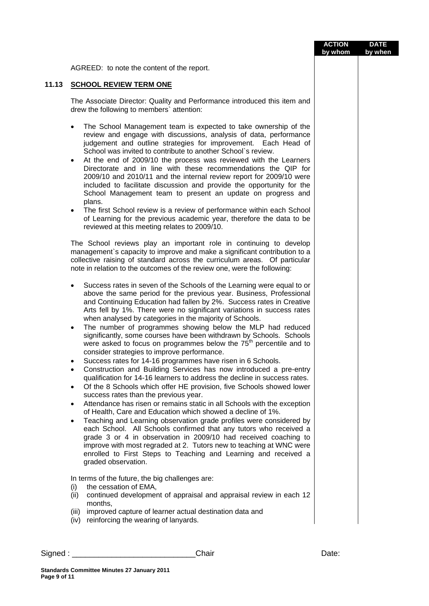|       |                                                                                                                                                                                                                                                                                                                                                                                                                                                                                                                                                                                                                                                                                                                                                                                                                                                                                                                                                                                                                                                                                                                                                                                                                                                                                                                                                                                                                                                                                                                                                                                                                        | <b>ACTION</b><br>by whom | <b>DATE</b><br>by when |
|-------|------------------------------------------------------------------------------------------------------------------------------------------------------------------------------------------------------------------------------------------------------------------------------------------------------------------------------------------------------------------------------------------------------------------------------------------------------------------------------------------------------------------------------------------------------------------------------------------------------------------------------------------------------------------------------------------------------------------------------------------------------------------------------------------------------------------------------------------------------------------------------------------------------------------------------------------------------------------------------------------------------------------------------------------------------------------------------------------------------------------------------------------------------------------------------------------------------------------------------------------------------------------------------------------------------------------------------------------------------------------------------------------------------------------------------------------------------------------------------------------------------------------------------------------------------------------------------------------------------------------------|--------------------------|------------------------|
|       | AGREED: to note the content of the report.                                                                                                                                                                                                                                                                                                                                                                                                                                                                                                                                                                                                                                                                                                                                                                                                                                                                                                                                                                                                                                                                                                                                                                                                                                                                                                                                                                                                                                                                                                                                                                             |                          |                        |
| 11.13 | <b>SCHOOL REVIEW TERM ONE</b>                                                                                                                                                                                                                                                                                                                                                                                                                                                                                                                                                                                                                                                                                                                                                                                                                                                                                                                                                                                                                                                                                                                                                                                                                                                                                                                                                                                                                                                                                                                                                                                          |                          |                        |
|       | The Associate Director: Quality and Performance introduced this item and<br>drew the following to members' attention:                                                                                                                                                                                                                                                                                                                                                                                                                                                                                                                                                                                                                                                                                                                                                                                                                                                                                                                                                                                                                                                                                                                                                                                                                                                                                                                                                                                                                                                                                                  |                          |                        |
|       | The School Management team is expected to take ownership of the<br>$\bullet$<br>review and engage with discussions, analysis of data, performance<br>judgement and outline strategies for improvement. Each Head of<br>School was invited to contribute to another School's review.<br>At the end of 2009/10 the process was reviewed with the Learners<br>$\bullet$<br>Directorate and in line with these recommendations the QIP for<br>2009/10 and 2010/11 and the internal review report for 2009/10 were<br>included to facilitate discussion and provide the opportunity for the<br>School Management team to present an update on progress and<br>plans.<br>The first School review is a review of performance within each School<br>$\bullet$<br>of Learning for the previous academic year, therefore the data to be<br>reviewed at this meeting relates to 2009/10.                                                                                                                                                                                                                                                                                                                                                                                                                                                                                                                                                                                                                                                                                                                                          |                          |                        |
|       | The School reviews play an important role in continuing to develop<br>management's capacity to improve and make a significant contribution to a<br>collective raising of standard across the curriculum areas. Of particular<br>note in relation to the outcomes of the review one, were the following:                                                                                                                                                                                                                                                                                                                                                                                                                                                                                                                                                                                                                                                                                                                                                                                                                                                                                                                                                                                                                                                                                                                                                                                                                                                                                                                |                          |                        |
|       | Success rates in seven of the Schools of the Learning were equal to or<br>$\bullet$<br>above the same period for the previous year. Business, Professional<br>and Continuing Education had fallen by 2%. Success rates in Creative<br>Arts fell by 1%. There were no significant variations in success rates<br>when analysed by categories in the majority of Schools.<br>The number of programmes showing below the MLP had reduced<br>$\bullet$<br>significantly, some courses have been withdrawn by Schools. Schools<br>were asked to focus on programmes below the 75 <sup>th</sup> percentile and to<br>consider strategies to improve performance.<br>Success rates for 14-16 programmes have risen in 6 Schools.<br>Construction and Building Services has now introduced a pre-entry<br>٠<br>qualification for 14-16 learners to address the decline in success rates.<br>Of the 8 Schools which offer HE provision, five Schools showed lower<br>$\bullet$<br>success rates than the previous year.<br>Attendance has risen or remains static in all Schools with the exception<br>$\bullet$<br>of Health, Care and Education which showed a decline of 1%.<br>Teaching and Learning observation grade profiles were considered by<br>$\bullet$<br>each School. All Schools confirmed that any tutors who received a<br>grade 3 or 4 in observation in 2009/10 had received coaching to<br>improve with most regraded at 2. Tutors new to teaching at WNC were<br>enrolled to First Steps to Teaching and Learning and received a<br>graded observation.<br>In terms of the future, the big challenges are: |                          |                        |
|       | the cessation of EMA,<br>(i)<br>continued development of appraisal and appraisal review in each 12<br>(ii)<br>months,<br>improved capture of learner actual destination data and<br>(iii)                                                                                                                                                                                                                                                                                                                                                                                                                                                                                                                                                                                                                                                                                                                                                                                                                                                                                                                                                                                                                                                                                                                                                                                                                                                                                                                                                                                                                              |                          |                        |
|       | (iv) reinforcing the wearing of lanyards.                                                                                                                                                                                                                                                                                                                                                                                                                                                                                                                                                                                                                                                                                                                                                                                                                                                                                                                                                                                                                                                                                                                                                                                                                                                                                                                                                                                                                                                                                                                                                                              |                          |                        |
|       | Chair<br>Signed : ____________________                                                                                                                                                                                                                                                                                                                                                                                                                                                                                                                                                                                                                                                                                                                                                                                                                                                                                                                                                                                                                                                                                                                                                                                                                                                                                                                                                                                                                                                                                                                                                                                 | Date:                    |                        |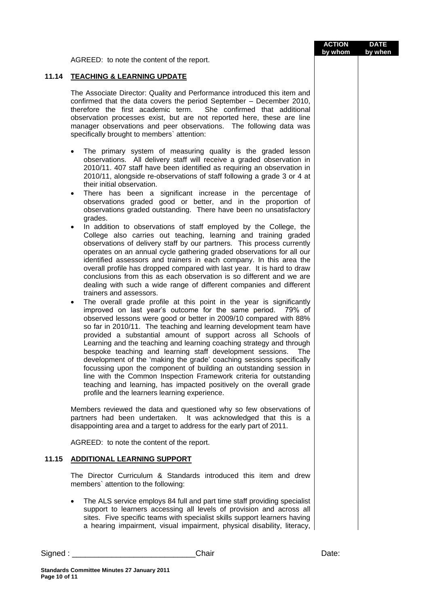AGREED: to note the content of the report.

# **11.14 TEACHING & LEARNING UPDATE**

The Associate Director: Quality and Performance introduced this item and confirmed that the data covers the period September – December 2010, therefore the first academic term. She confirmed that additional observation processes exist, but are not reported here, these are line manager observations and peer observations. The following data was specifically brought to members` attention:

- The primary system of measuring quality is the graded lesson observations. All delivery staff will receive a graded observation in 2010/11. 407 staff have been identified as requiring an observation in 2010/11, alongside re-observations of staff following a grade 3 or 4 at their initial observation.
- There has been a significant increase in the percentage of observations graded good or better, and in the proportion of observations graded outstanding. There have been no unsatisfactory grades.
- In addition to observations of staff employed by the College, the College also carries out teaching, learning and training graded observations of delivery staff by our partners. This process currently operates on an annual cycle gathering graded observations for all our identified assessors and trainers in each company. In this area the overall profile has dropped compared with last year. It is hard to draw conclusions from this as each observation is so different and we are dealing with such a wide range of different companies and different trainers and assessors.
- The overall grade profile at this point in the year is significantly improved on last year's outcome for the same period. 79% of observed lessons were good or better in 2009/10 compared with 88% so far in 2010/11. The teaching and learning development team have provided a substantial amount of support across all Schools of Learning and the teaching and learning coaching strategy and through bespoke teaching and learning staff development sessions. The development of the 'making the grade' coaching sessions specifically focussing upon the component of building an outstanding session in line with the Common Inspection Framework criteria for outstanding teaching and learning, has impacted positively on the overall grade profile and the learners learning experience.

Members reviewed the data and questioned why so few observations of partners had been undertaken. It was acknowledged that this is a disappointing area and a target to address for the early part of 2011.

AGREED: to note the content of the report.

### **11.15 ADDITIONAL LEARNING SUPPORT**

The Director Curriculum & Standards introduced this item and drew members` attention to the following:

 The ALS service employs 84 full and part time staff providing specialist support to learners accessing all levels of provision and across all sites. Five specific teams with specialist skills support learners having a hearing impairment, visual impairment, physical disability, literacy,